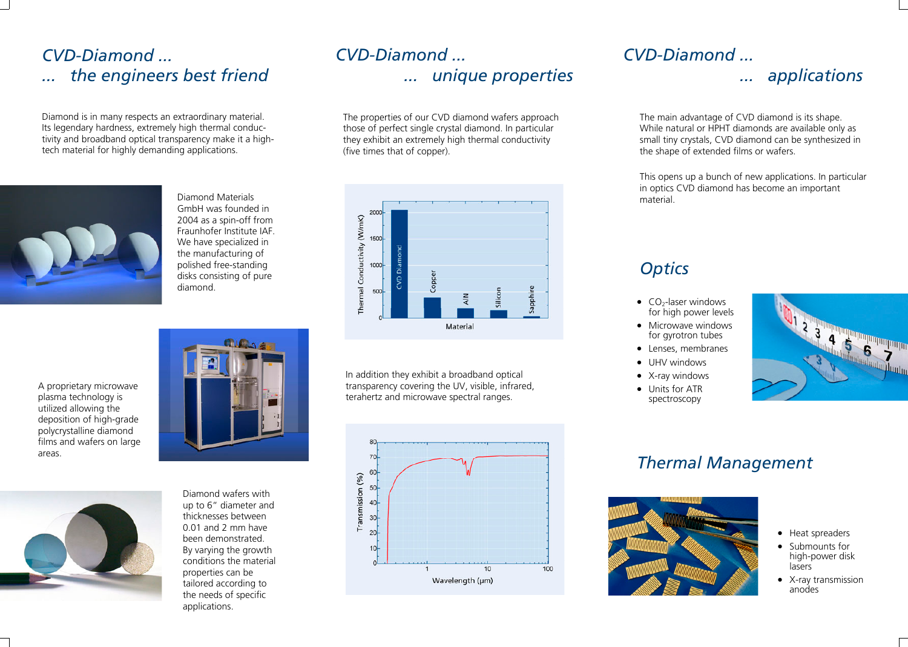### *CVD-Diamond ... ... the engineers best friend*

Diamond is in many respects an extraordinary material. Its legendary hardness, extremely high thermal conductivity and broadband optical transparency make it a hightech material for highly demanding applications.



Diamond Materials GmbH was founded in 2004 as a spin-off from Fraunhofer Institute IAF. We have specialized in the manufacturing of polished free-standing disks consisting of pure diamond.







up to 6" diameter and thicknesses between 0.01 and 2 mm have been demonstrated. By varying the growth conditions the material properties can be tailored according to the needs of specific applications.

Diamond wafers with

# *CVD-Diamond ... ... unique properties*

The properties of our CVD diamond wafers approach those of perfect single crystal diamond. In particular they exhibit an extremely high thermal conductivity (five times that of copper).



In addition they exhibit a broadband optical transparency covering the UV, visible, infrared, terahertz and microwave spectral ranges.



### *CVD-Diamond ...*

#### *... applications*

The main advantage of CVD diamond is its shape. While natural or HPHT diamonds are available only as small tiny crystals, CVD diamond can be synthesized in the shape of extended films or wafers.

This opens up a bunch of new applications. In particular in optics CVD diamond has become an important material.

### *Optics*

- $CO<sub>2</sub>$ -laser windows for high power levels
- Microwave windows for gyrotron tubes
- Lenses, membranes
- UHV windows
- X-ray windows
- Units for ATR spectroscopy



## *Thermal Management*



- Heat spreaders
- Submounts for high-power disk lasers
- X-ray transmission anodes